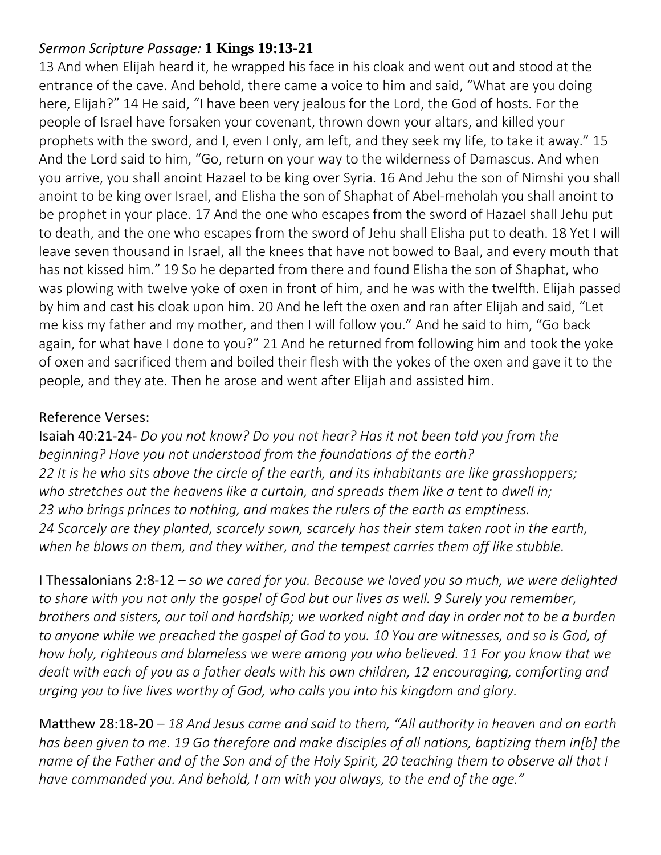# *Sermon Scripture Passage:* **1 Kings 19:13-21**

13 And when Elijah heard it, he wrapped his face in his cloak and went out and stood at the entrance of the cave. And behold, there came a voice to him and said, "What are you doing here, Elijah?" 14 He said, "I have been very jealous for the Lord, the God of hosts. For the people of Israel have forsaken your covenant, thrown down your altars, and killed your prophets with the sword, and I, even I only, am left, and they seek my life, to take it away." 15 And the Lord said to him, "Go, return on your way to the wilderness of Damascus. And when you arrive, you shall anoint Hazael to be king over Syria. 16 And Jehu the son of Nimshi you shall anoint to be king over Israel, and Elisha the son of Shaphat of Abel-meholah you shall anoint to be prophet in your place. 17 And the one who escapes from the sword of Hazael shall Jehu put to death, and the one who escapes from the sword of Jehu shall Elisha put to death. 18 Yet I will leave seven thousand in Israel, all the knees that have not bowed to Baal, and every mouth that has not kissed him." 19 So he departed from there and found Elisha the son of Shaphat, who was plowing with twelve yoke of oxen in front of him, and he was with the twelfth. Elijah passed by him and cast his cloak upon him. 20 And he left the oxen and ran after Elijah and said, "Let me kiss my father and my mother, and then I will follow you." And he said to him, "Go back again, for what have I done to you?" 21 And he returned from following him and took the yoke of oxen and sacrificed them and boiled their flesh with the yokes of the oxen and gave it to the people, and they ate. Then he arose and went after Elijah and assisted him.

### Reference Verses:

Isaiah 40:21-24- *Do you not know? Do you not hear? Has it not been told you from the beginning? Have you not understood from the foundations of the earth? 22 It is he who sits above the circle of the earth, and its inhabitants are like grasshoppers; who stretches out the heavens like a curtain, and spreads them like a tent to dwell in; 23 who brings princes to nothing, and makes the rulers of the earth as emptiness. 24 Scarcely are they planted, scarcely sown, scarcely has their stem taken root in the earth, when he blows on them, and they wither, and the tempest carries them off like stubble.*

I Thessalonians 2:8-12 *– so we cared for you. Because we loved you so much, we were delighted to share with you not only the gospel of God but our lives as well. 9 Surely you remember, brothers and sisters, our toil and hardship; we worked night and day in order not to be a burden to anyone while we preached the gospel of God to you. 10 You are witnesses, and so is God, of how holy, righteous and blameless we were among you who believed. 11 For you know that we dealt with each of you as a father deals with his own children, 12 encouraging, comforting and urging you to live lives worthy of God, who calls you into his kingdom and glory.*

Matthew 28:18-20 *– 18 And Jesus came and said to them, "All authority in heaven and on earth has been given to me. 19 Go therefore and make disciples of all nations, baptizing them in[b] the name of the Father and of the Son and of the Holy Spirit, 20 teaching them to observe all that I have commanded you. And behold, I am with you always, to the end of the age."*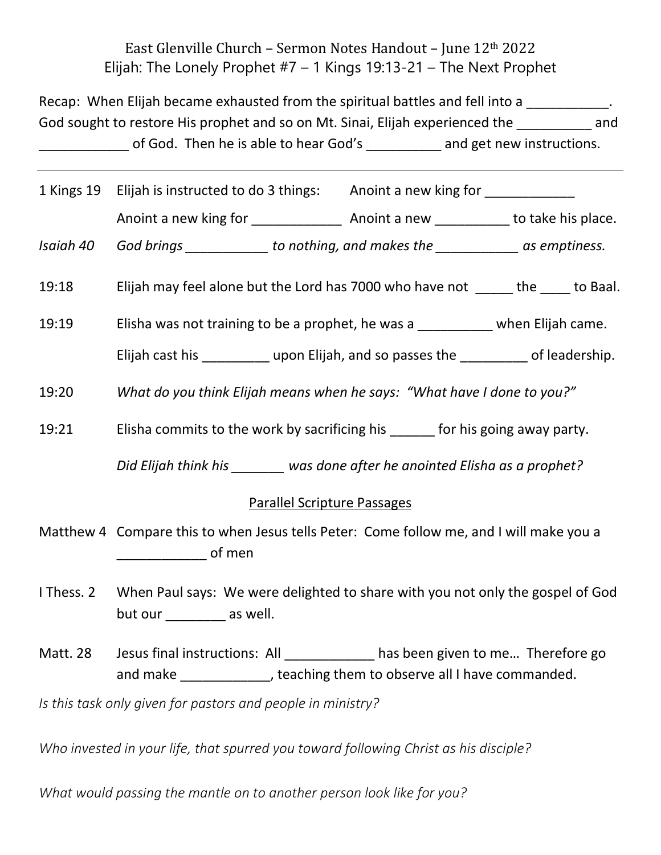# East Glenville Church – Sermon Notes Handout – June 12th 2022 Elijah: The Lonely Prophet  $#7 - 1$  Kings 19:13-21 – The Next Prophet

Recap: When Elijah became exhausted from the spiritual battles and fell into a  $\blacksquare$ God sought to restore His prophet and so on Mt. Sinai, Elijah experienced the summand of God. Then he is able to hear God's \_\_\_\_\_\_\_\_\_\_ and get new instructions.

|           | 1 Kings 19 Elijah is instructed to do 3 things: Anoint a new king for __________       |  |  |
|-----------|----------------------------------------------------------------------------------------|--|--|
|           |                                                                                        |  |  |
| Isaiah 40 | God brings ______________ to nothing, and makes the ______________ as emptiness.       |  |  |
| 19:18     | Elijah may feel alone but the Lord has 7000 who have not ______ the ____ to Baal.      |  |  |
| 19:19     | Elisha was not training to be a prophet, he was a when Elijah came.                    |  |  |
|           | Elijah cast his ____________ upon Elijah, and so passes the ___________ of leadership. |  |  |
| 19:20     | What do you think Elijah means when he says: "What have I done to you?"                |  |  |
| 19:21     | Elisha commits to the work by sacrificing his for his going away party.                |  |  |

*Did Elijah think his \_\_\_\_\_\_\_ was done after he anointed Elisha as a prophet?*

#### Parallel Scripture Passages

- Matthew 4 Compare this to when Jesus tells Peter: Come follow me, and I will make you a  $\Box$  of men
- I Thess. 2 When Paul says: We were delighted to share with you not only the gospel of God but our \_\_\_\_\_\_\_\_\_ as well.
- Matt. 28 Jesus final instructions: All \_\_\_\_\_\_\_\_\_\_ has been given to me... Therefore go and make \_\_\_\_\_\_\_\_\_\_\_\_, teaching them to observe all I have commanded.

*Is this task only given for pastors and people in ministry?*

*Who invested in your life, that spurred you toward following Christ as his disciple?*

*What would passing the mantle on to another person look like for you?*